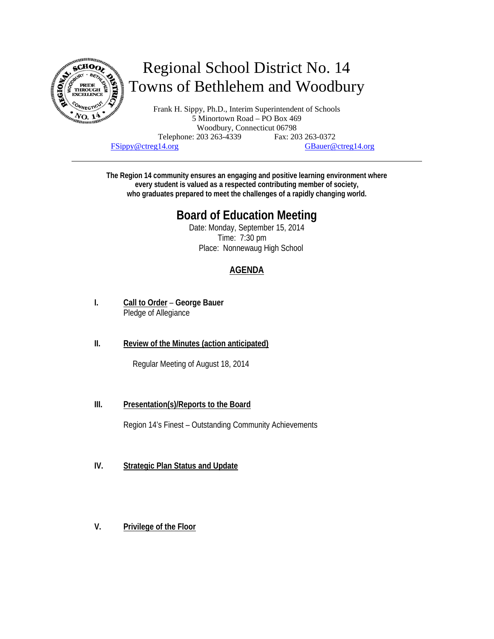

# Regional School District No. 14 Towns of Bethlehem and Woodbury

Frank H. Sippy, Ph.D., Interim Superintendent of Schools 5 Minortown Road – PO Box 469 Woodbury, Connecticut 06798 Telephone: 203 263-4339 Fax: 203 263-0372 FSippy@ctreg14.org GBauer@ctreg14.org

**The Region 14 community ensures an engaging and positive learning environment where every student is valued as a respected contributing member of society, who graduates prepared to meet the challenges of a rapidly changing world.** 

## **Board of Education Meeting**

Date: Monday, September 15, 2014 Time: 7:30 pm Place: Nonnewaug High School

### **AGENDA**

- **I. Call to Order George Bauer** Pledge of Allegiance
- **II. Review of the Minutes (action anticipated)**

Regular Meeting of August 18, 2014

**III. Presentation(s)/Reports to the Board** 

Region 14's Finest – Outstanding Community Achievements

- **IV. Strategic Plan Status and Update**
- **V. Privilege of the Floor**